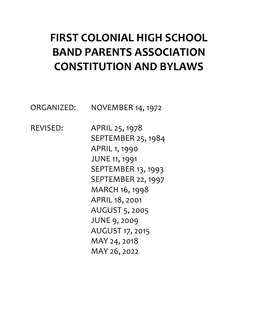# **FIRST COLONIAL HIGH SCHOOL BAND PARENTS ASSOCIATION CONSTITUTION AND BYLAWS**

ORGANIZED: NOVEMBER 14, 1972

REVISED: APRIL 25, 1978 SEPTEMBER 25, 1984 APRIL 1, 1990 JUNE 11, 1991 SEPTEMBER 13, 1993 SEPTEMBER 22, 1997 MARCH 16, 1998 APRIL 18, 2001 AUGUST 5, 2005 JUNE 9, 2009 AUGUST 17, 2015 MAY 24, 2018 MAY 26, 2022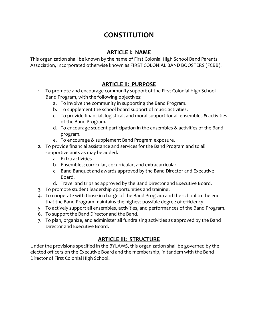## **CONSTITUTION**

#### **ARTICLE I: NAME**

This organization shall be known by the name of First Colonial High School Band Parents Association, Incorporated otherwise known as FIRST COLONIAL BAND BOOSTERS (FCBB).

#### **ARTICLE II: PURPOSE**

- 1. To promote and encourage community support of the First Colonial High School Band Program, with the following objectives:
	- a. To involve the community in supporting the Band Program.
	- b. To supplement the school board support of music activities.
	- c. To provide financial, logistical, and moral support for all ensembles & activities of the Band Program.
	- d. To encourage student participation in the ensembles & activities of the Band program.
	- e. To encourage & supplement Band Program exposure.
- 2. To provide financial assistance and services for the Band Program and to all supportive units as may be added.
	- a. Extra activities.
	- b. Ensembles; curricular, cocurricular, and extracurricular.
	- c. Band Banquet and awards approved by the Band Director and Executive Board.
	- d. Travel and trips as approved by the Band Director and Executive Board.
- 3. To promote student leadership opportunities and training.
- 4. To cooperate with those in charge of the Band Program and the school to the end that the Band Program maintains the highest possible degree of efficiency.
- 5. To actively support all ensembles, activities, and performances of the Band Program.
- 6. To support the Band Director and the Band.
- 7. To plan, organize, and administer all fundraising activities as approved by the Band Director and Executive Board.

#### **ARTICLE III: STRUCTURE**

Under the provisions specified in the BYLAWS, this organization shall be governed by the elected officers on the Executive Board and the membership, in tandem with the Band Director of First Colonial High School.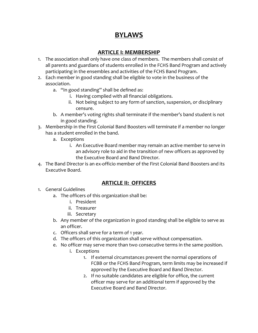# **BYLAWS**

#### **ARTICLE I: MEMBERSHIP**

- 1. The association shall only have one class of members. The members shall consist of all parents and guardians of students enrolled in the FCHS Band Program and actively participating in the ensembles and activities of the FCHS Band Program.
- 2. Each member in good standing shall be eligible to vote in the business of the association.
	- a. "In good standing" shall be defined as:
		- i. Having complied with all financial obligations.
		- ii. Not being subject to any form of sanction, suspension, or disciplinary censure.
	- b. A member's voting rights shall terminate if the member's band student is not in good standing.
- 3. Membership in the First Colonial Band Boosters will terminate if a member no longer has a student enrolled in the band.
	- a. Exceptions
		- i. An Executive Board member may remain an active member to serve in an advisory role to aid in the transition of new officers as approved by the Executive Board and Band Director.
- 4. The Band Director is an ex-officio member of the First Colonial Band Boosters and its Executive Board.

#### **ARTICLE II: OFFICERS**

- 1. General Guidelines
	- a. The officers of this organization shall be:
		- i. President
		- ii. Treasurer
		- iii. Secretary
	- b. Any member of the organization in good standing shall be eligible to serve as an officer.
	- c. Officers shall serve for a term of 1 year.
	- d. The officers of this organization shall serve without compensation.
	- e. No officer may serve more than two consecutive terms in the same position.
		- i. Exceptions
			- 1. If external circumstances prevent the normal operations of FCBB or the FCHS Band Program, term limits may be increased if approved by the Executive Board and Band Director.
			- 2. If no suitable candidates are eligible for office, the current officer may serve for an additional term if approved by the Executive Board and Band Director.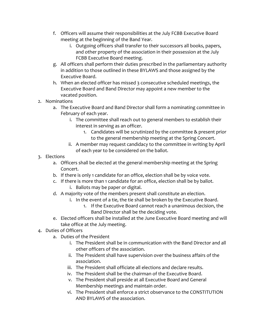- f. Officers will assume their responsibilities at the July FCBB Executive Board meeting at the beginning of the Band Year.
	- i. Outgoing officers shall transfer to their successors all books, papers, and other property of the association in their possession at the July FCBB Executive Board meeting.
- g. All officers shall perform their duties prescribed in the parliamentary authority in addition to those outlined in these BYLAWS and those assigned by the Executive Board.
- h. When an elected officer has missed 3 consecutive scheduled meetings, the Executive Board and Band Director may appoint a new member to the vacated position.
- 2. Nominations
	- a. The Executive Board and Band Director shall form a nominating committee in February of each year.
		- i. The committee shall reach out to general members to establish their interest in serving as an officer.
			- 1. Candidates will be scrutinized by the committee & present prior to the general membership meeting at the Spring Concert.
		- ii. A member may request candidacy to the committee in writing by April of each year to be considered on the ballot.
- 3. Elections
	- a. Officers shall be elected at the general membership meeting at the Spring Concert.
	- b. If there is only 1 candidate for an office, election shall be by voice vote.
	- c. If there is more than 1 candidate for an office, election shall be by ballot. i. Ballots may be paper or digital.
	- d. A majority vote of the members present shall constitute an election.
		- i. In the event of a tie, the tie shall be broken by the Executive Board.
			- 1. If the Executive Board cannot reach a unanimous decision, the Band Director shall be the deciding vote.
	- e. Elected officers shall be installed at the June Executive Board meeting and will take office at the July meeting.
- 4. Duties of Officers
	- a. Duties of the President
		- i. The President shall be in communication with the Band Director and all other officers of the association.
		- ii. The President shall have supervision over the business affairs of the association.
		- iii. The President shall officiate all elections and declare results.
		- iv. The President shall be the chairman of the Executive Board.
		- v. The President shall preside at all Executive Board and General Membership meetings and maintain order.
		- vi. The President shall enforce a strict observance to the CONSTITUTION AND BYLAWS of the association.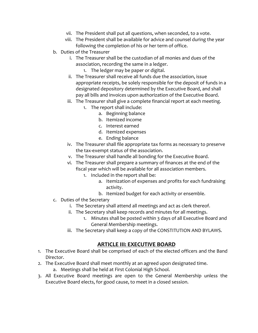- vii. The President shall put all questions, when seconded, to a vote.
- viii. The President shall be available for advice and counsel during the year following the completion of his or her term of office.
- b. Duties of the Treasurer
	- i. The Treasurer shall be the custodian of all monies and dues of the association, recording the same in a ledger.
		- 1. The ledger may be paper or digital.
	- ii. The Treasurer shall receive all funds due the association, issue appropriate receipts, be solely responsible for the deposit of funds in a designated depository determined by the Executive Board, and shall pay all bills and invoices upon authorization of the Executive Board.
	- iii. The Treasurer shall give a complete financial report at each meeting.
		- 1. The report shall include:
			- a. Beginning balance
			- b. Itemized income
			- c. Interest earned
			- d. Itemized expenses
			- e. Ending balance
	- iv. The Treasurer shall file appropriate tax forms as necessary to preserve the tax-exempt status of the association.
	- v. The Treasurer shall handle all bonding for the Executive Board.
	- vi. The Treasurer shall prepare a summary of finances at the end of the fiscal year which will be available for all association members.
		- 1. Included in the report shall be:
			- a. Itemization of expenses and profits for each fundraising activity.
			- b. Itemized budget for each activity or ensemble.
- c. Duties of the Secretary
	- i. The Secretary shall attend all meetings and act as clerk thereof.
	- ii. The Secretary shall keep records and minutes for all meetings.
		- 1. Minutes shall be posted within 3 days of all Executive Board and General Membership meetings.
	- iii. The Secretary shall keep a copy of the CONSTITUTION AND BYLAWS.

#### **ARTICLE III: EXECUTIVE BOARD**

- 1. The Executive Board shall be comprised of each of the elected officers and the Band Director.
- 2. The Executive Board shall meet monthly at an agreed upon designated time.
	- a. Meetings shall be held at First Colonial High School.
- 3. All Executive Board meetings are open to the General Membership unless the Executive Board elects, for good cause, to meet in a closed session.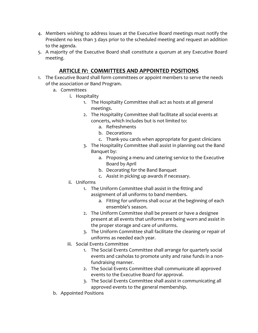- 4. Members wishing to address issues at the Executive Board meetings must notify the President no less than 3 days prior to the scheduled meeting and request an addition to the agenda.
- 5. A majority of the Executive Board shall constitute a quorum at any Executive Board meeting.

#### **ARTICLE IV: COMMITTEES AND APPOINTED POSITIONS**

- 1. The Executive Board shall form committees or appoint members to serve the needs of the association or Band Program.
	- a. Committees
		- i. Hospitality
			- 1. The Hospitality Committee shall act as hosts at all general meetings.
			- 2. The Hospitality Committee shall facilitate all social events at concerts, which includes but is not limited to:
				- a. Refreshments
				- b. Decorations
				- c. Thank-you cards when appropriate for guest clinicians
			- 3. The Hospitality Committee shall assist in planning out the Band Banquet by:
				- a. Proposing a menu and catering service to the Executive Board by April
				- b. Decorating for the Band Banquet
				- c. Assist in picking up awards if necessary.
		- ii. Uniforms
			- 1. The Uniform Committee shall assist in the fitting and assignment of all uniforms to band members.
				- a. Fitting for uniforms shall occur at the beginning of each ensemble's season.
			- 2. The Uniform Committee shall be present or have a designee present at all events that uniforms are being worn and assist in the proper storage and care of uniforms.
			- 3. The Uniform Committee shall facilitate the cleaning or repair of uniforms as needed each year.
		- iii. Social Events Committee
			- 1. The Social Events Committee shall arrange for quarterly social events and casholas to promote unity and raise funds in a nonfundraising manner.
			- 2. The Social Events Committee shall communicate all approved events to the Executive Board for approval.
			- 3. The Social Events Committee shall assist in communicating all approved events to the general membership.
	- b. Appointed Positions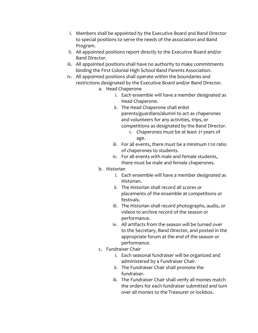- i. Members shall be appointed by the Executive Board and Band Director to special positions to serve the needs of the association and Band Program.
- ii. All appointed positions report directly to the Executive Board and/or Band Director.
- iii. All appointed positions shall have no authority to make commitments binding the First Colonial High School Band Parents Association.
- iv. All appointed positions shall operate within the boundaries and restrictions designated by the Executive Board and/or Band Director.
	- a. Head Chaperone
		- i. Each ensemble will have a member designated as Head Chaperone.
		- ii. The Head Chaperone shall enlist parents/guardians/alumni to act as chaperones and volunteers for any activities, trips, or competitions as designated by the Band Director.
			- 1. Chaperones must be at least 21 years of age.
		- iii. For all events, there must be a minimum 1:10 ratio of chaperones to students.
		- iv. For all events with male and female students, there must be male and female chaperones.
	- b. Historian
		- i. Each ensemble will have a member designated as Historian.
		- ii. The Historian shall record all scores or placements of the ensemble at competitions or festivals.
		- iii. The Historian shall record photographs, audio, or videos to archive record of the season or performance.
		- iv. All artifacts from the season will be turned over to the Secretary, Band Director, and posted in the appropriate forum at the end of the season or performance.
	- c. Fundraiser Chair
		- i. Each seasonal fundraiser will be organized and administered by a Fundraiser Chair.
		- ii. The Fundraiser Chair shall promote the fundraiser.
		- iii. The Fundraiser Chair shall verify all monies match the orders for each fundraiser submitted and turn over all monies to the Treasurer or lockbox.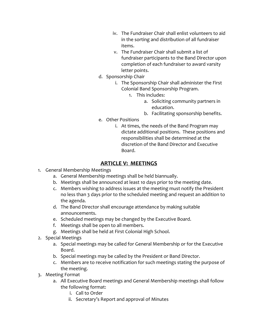- iv. The Fundraiser Chair shall enlist volunteers to aid in the sorting and distribution of all fundraiser items.
- v. The Fundraiser Chair shall submit a list of fundraiser participants to the Band Director upon completion of each fundraiser to award varsity letter points.
- d. Sponsorship Chair
	- i. The Sponsorship Chair shall administer the First Colonial Band Sponsorship Program.
		- 1. This includes:
			- a. Soliciting community partners in education.
			- b. Facilitating sponsorship benefits.
- e. Other Positions
	- i. At times, the needs of the Band Program may dictate additional positions. These positions and responsibilities shall be determined at the discretion of the Band Director and Executive Board.

#### **ARTICLE V: MEETINGS**

- 1. General Membership Meetings
	- a. General Membership meetings shall be held biannually.
	- b. Meetings shall be announced at least 10 days prior to the meeting date.
	- c. Members wishing to address issues at the meeting must notify the President no less than 3 days prior to the scheduled meeting and request an addition to the agenda.
	- d. The Band Director shall encourage attendance by making suitable announcements.
	- e. Scheduled meetings may be changed by the Executive Board.
	- f. Meetings shall be open to all members.
	- g. Meetings shall be held at First Colonial High School.
- 2. Special Meetings
	- a. Special meetings may be called for General Membership or for the Executive Board.
	- b. Special meetings may be called by the President or Band Director.
	- c. Members are to receive notification for such meetings stating the purpose of the meeting.
- 3. Meeting Format
	- a. All Executive Board meetings and General Membership meetings shall follow the following format:
		- i. Call to Order
		- ii. Secretary's Report and approval of Minutes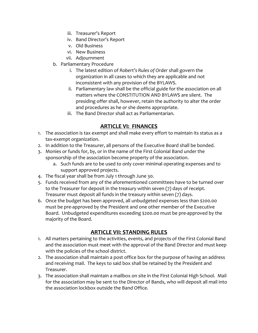- iii. Treasurer's Report
- iv. Band Director's Report
- v. Old Business
- vi. New Business
- vii. Adjournment
- b. Parliamentary Procedure
	- i. The latest edition of *Robert's Rules of Order* shall govern the organization in all cases to which they are applicable and not inconsistent with any provision of the BYLAWS.
	- ii. Parliamentary law shall be the official guide for the association on all matters where the CONSTITUTION AND BYLAWS are silent. The presiding offer shall, however, retain the authority to alter the order and procedures as he or she deems appropriate.
	- iii. The Band Director shall act as Parliamentarian.

#### **ARTICLE VI: FINANCES**

- 1. The association is tax exempt and shall make every effort to maintain its status as a tax-exempt organization.
- 2. In addition to the Treasurer, all persons of the Executive Board shall be bonded.
- 3. Monies or funds for, by, or in the name of the First Colonial Band under the sponsorship of the association become property of the association.
	- a. Such funds are to be used to only cover minimal operating expenses and to support approved projects.
- 4. The fiscal year shall be from July 1 through June 30.
- 5. Funds received from any of the aforementioned committees have to be turned over to the Treasurer for deposit in the treasury within seven (7) days of receipt. Treasurer must deposit all funds in the treasury within seven (7) days.
- 6. Once the budget has been approved, all unbudgeted expenses less than \$200.00 must be pre-approved by the President and one other member of the Executive Board. Unbudgeted expenditures exceeding \$200.00 must be pre-approved by the majority of the Board.

#### **ARTICLE VII: STANDING RULES**

- 1. All matters pertaining to the activities, events, and projects of the First Colonial Band and the association must meet with the approval of the Band Director and must keep with the policies of the school district.
- 2. The association shall maintain a post office box for the purpose of having an address and receiving mail. The keys to said box shall be retained by the President and Treasurer.
- 3. The association shall maintain a mailbox on site in the First Colonial High School. Mail for the association may be sent to the Director of Bands, who will deposit all mail into the association lockbox outside the Band Office.